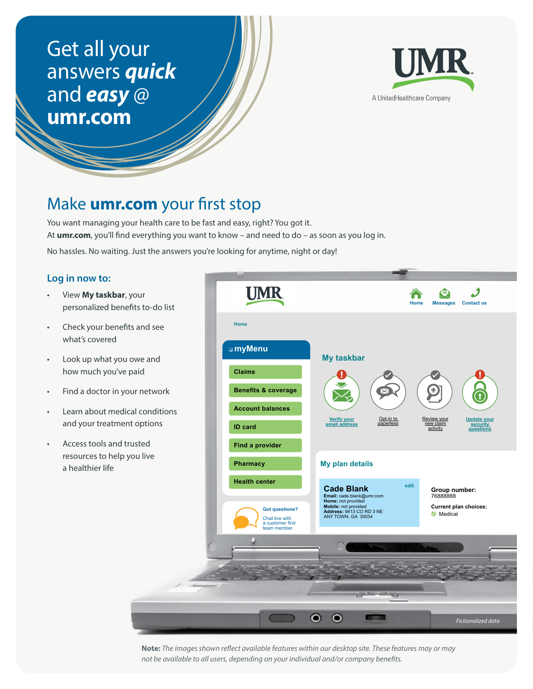# Get all your answers *quick* and *easy* @ **[umr.com](http://www.umr.com)**



## Make **[umr.com](http://www.umr.com)** your first stop

You want managing your health care to be fast and easy, right? You got it. At **[umr.com](http://www.umr.com)**, you'll find everything you want to know – and need to do – as soon as you log in.

No hassles. No waiting. Just the answers you're looking for anytime, night or day!

#### **Log in now to:**

- View **My taskbar**, your personalized benefits to-do list
- Check your benefits and see what's covered
- Look up what you owe and how much you've paid
- Find a doctor in your network
- Learn about medical conditions and your treatment options
- Access tools and trusted resources to help you live a healthier life



**Note:** *The images shown reflect available features within our desktop site. These features may or may not be available to all users, depending on your individual and/or company benefits.*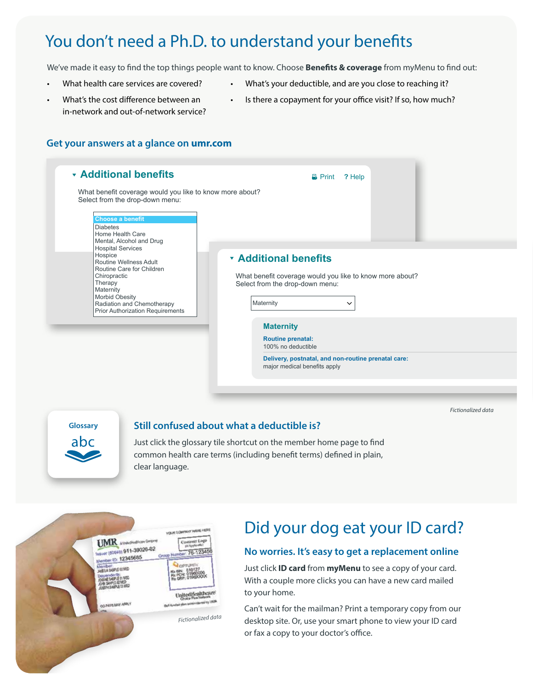# You don't need a Ph.D. to understand your benefits

We've made it easy to find the top things people want to know. Choose **Benefits & coverage** from myMenu to find out:

- What health care services are covered?
- What's your deductible, and are you close to reaching it?
- What's the cost difference between an in-network and out-of-network service?
- Is there a copayment for your office visit? If so, how much?

#### **Get your answers at a glance on [umr.com](http://www.umr.com)**

| <b>Additional benefits</b>                                                                                                                                                                                                    | <b>晶 Print</b>                                                                                                                                           | ? Help |  |  |  |  |
|-------------------------------------------------------------------------------------------------------------------------------------------------------------------------------------------------------------------------------|----------------------------------------------------------------------------------------------------------------------------------------------------------|--------|--|--|--|--|
| What benefit coverage would you like to know more about?<br>Select from the drop-down menu:<br><b>Choose a benefit</b><br><b>Diabetes</b><br>Home Health Care<br>Mental, Alcohol and Drug                                     |                                                                                                                                                          |        |  |  |  |  |
| <b>Hospital Services</b><br>Hospice<br>Routine Wellness Adult<br>Routine Care for Children<br>Chiropractic<br>Therapy<br>Maternity<br><b>Morbid Obesity</b><br>Radiation and Chemotherapy<br>Prior Authorization Requirements | <b>* Additional benefits</b><br>What benefit coverage would you like to know more about?<br>Select from the drop-down menu:<br>Maternity<br>$\checkmark$ |        |  |  |  |  |
|                                                                                                                                                                                                                               | <b>Maternity</b><br><b>Routine prenatal:</b><br>100% no deductible                                                                                       |        |  |  |  |  |
|                                                                                                                                                                                                                               | Delivery, postnatal, and non-routine prenatal care:<br>major medical benefits apply                                                                      |        |  |  |  |  |
|                                                                                                                                                                                                                               |                                                                                                                                                          |        |  |  |  |  |

**Glossary** abc

#### **Still confused about what a deductible is?**

Just click the glossary tile shortcut on the member home page to find common health care terms (including benefit terms) defined in plain, clear language.



# Did your dog eat your ID card?

*Fictionalized data*

#### **No worries. It's easy to get a replacement online**

Just click **ID card** from **myMenu** to see a copy of your card. With a couple more clicks you can have a new card mailed to your home.

Can't wait for the mailman? Print a temporary copy from our desktop site. Or, use your smart phone to view your ID card or fax a copy to your doctor's office.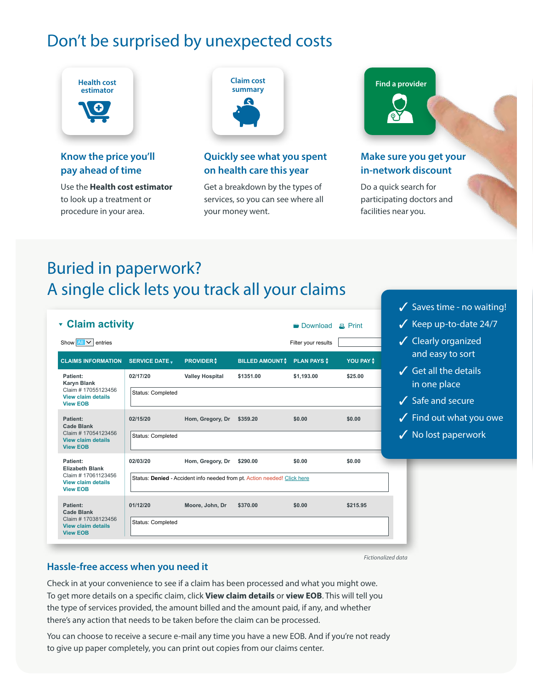# Don't be surprised by unexpected costs



### **Know the price you'll pay ahead of time**

Use the **Health cost estimator** to look up a treatment or procedure in your area.



### **Quickly see what you spent on health care this year**

Get a breakdown by the types of services, so you can see where all your money went.



### **Make sure you get your in-network discount**

Saves time - no waiting!

Do a quick search for participating doctors and facilities near you.

# Buried in paperwork? A single click lets you track all your claims

| <b>v</b> Claim activity                                             |                       |                        |                                                                          | <b>Download</b>     | $E$ Print  |
|---------------------------------------------------------------------|-----------------------|------------------------|--------------------------------------------------------------------------|---------------------|------------|
| entries<br>Show $All \vee$                                          |                       |                        |                                                                          | Filter your results |            |
| <b>CLAIMS INFORMATION</b>                                           | <b>SERVICE DATE v</b> | <b>PROVIDER</b> \$     | <b>BILLED AMOUNT</b>                                                     | <b>PLAN PAYS</b>    | YOU PAY \$ |
| Patient:<br><b>Karyn Blank</b>                                      | 02/17/20              | <b>Valley Hospital</b> | \$1351.00                                                                | \$1.193.00          | \$25.00    |
| Claim # 17055123456<br><b>View claim details</b><br><b>View EOB</b> | Status: Completed     |                        |                                                                          |                     |            |
| Patient:<br><b>Cade Blank</b>                                       | 02/15/20              | Hom, Gregory, Dr       | \$359.20                                                                 | \$0.00              | \$0.00     |
| Claim # 17054123456<br><b>View claim details</b><br><b>View EOB</b> | Status: Completed     |                        |                                                                          |                     |            |
| Patient:<br><b>Elizabeth Blank</b>                                  | 02/03/20              | Hom, Gregory, Dr       | \$290.00                                                                 | \$0.00              | \$0.00     |
| Claim # 17061123456<br><b>View claim details</b><br><b>View EOB</b> |                       |                        | Status: Denied - Accident info needed from pt. Action needed! Click here |                     |            |
| Patient:<br><b>Cade Blank</b>                                       | 01/12/20              | Moore, John, Dr        | \$370.00                                                                 | \$0.00              | \$215.95   |
| Claim # 17038123456<br><b>View claim details</b><br><b>View EOB</b> | Status: Completed     |                        |                                                                          |                     |            |

*Fictionalized data*

### **Hassle-free access when you need it**

Check in at your convenience to see if a claim has been processed and what you might owe. To get more details on a specific claim, click **View claim details** or **view EOB**. This will tell you the type of services provided, the amount billed and the amount paid, if any, and whether there's any action that needs to be taken before the claim can be processed.

You can choose to receive a secure e-mail any time you have a new EOB. And if you're not ready to give up paper completely, you can print out copies from our claims center.